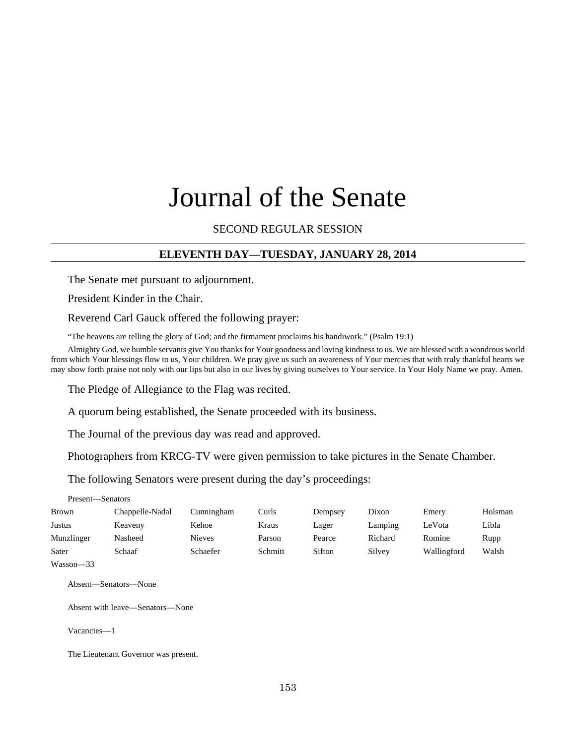# Journal of the Senate

## SECOND REGULAR SESSION

## **ELEVENTH DAY—TUESDAY, JANUARY 28, 2014**

The Senate met pursuant to adjournment.

President Kinder in the Chair.

Reverend Carl Gauck offered the following prayer:

"The heavens are telling the glory of God; and the firmament proclaims his handiwork." (Psalm 19:1)

Almighty God, we humble servants give You thanks for Your goodness and loving kindness to us. We are blessed with a wondrous world from which Your blessings flow to us, Your children. We pray give us such an awareness of Your mercies that with truly thankful hearts we may show forth praise not only with our lips but also in our lives by giving ourselves to Your service. In Your Holy Name we pray. Amen.

The Pledge of Allegiance to the Flag was recited.

A quorum being established, the Senate proceeded with its business.

The Journal of the previous day was read and approved.

Photographers from KRCG-TV were given permission to take pictures in the Senate Chamber.

The following Senators were present during the day's proceedings:

Present—Senators

| <b>Brown</b> | Chappelle-Nadal | Cunningham | Curls   | Dempsey | Dixon   | Emery       | Holsman |
|--------------|-----------------|------------|---------|---------|---------|-------------|---------|
| Justus       | Keaveny         | Kehoe      | Kraus   | Lager   | Lamping | LeVota      | Libla   |
| Munzlinger   | Nasheed         | Nieves     | Parson  | Pearce  | Richard | Romine      | Rupp    |
| Sater        | Schaaf          | Schaefer   | Schmitt | Sifton  | Silvey  | Wallingford | Walsh   |

Wasson—33

Absent—Senators—None

Absent with leave—Senators—None

Vacancies—1

The Lieutenant Governor was present.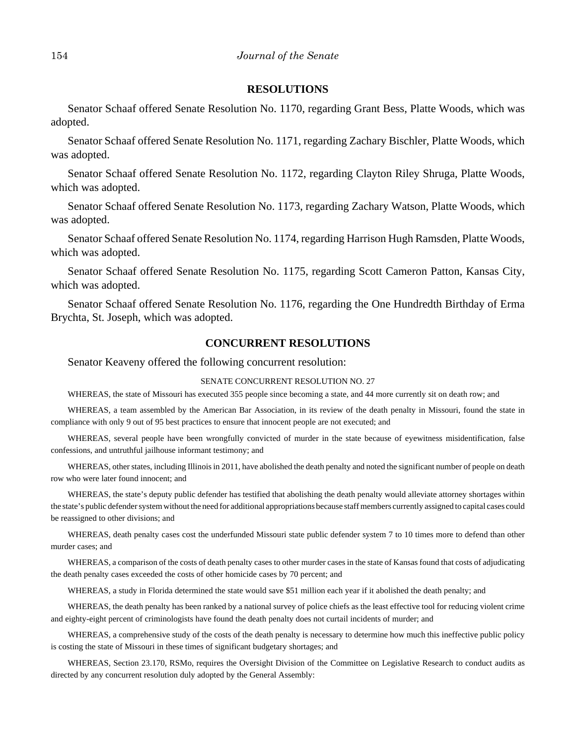## **RESOLUTIONS**

Senator Schaaf offered Senate Resolution No. 1170, regarding Grant Bess, Platte Woods, which was adopted.

Senator Schaaf offered Senate Resolution No. 1171, regarding Zachary Bischler, Platte Woods, which was adopted.

Senator Schaaf offered Senate Resolution No. 1172, regarding Clayton Riley Shruga, Platte Woods, which was adopted.

Senator Schaaf offered Senate Resolution No. 1173, regarding Zachary Watson, Platte Woods, which was adopted.

Senator Schaaf offered Senate Resolution No. 1174, regarding Harrison Hugh Ramsden, Platte Woods, which was adopted.

Senator Schaaf offered Senate Resolution No. 1175, regarding Scott Cameron Patton, Kansas City, which was adopted.

Senator Schaaf offered Senate Resolution No. 1176, regarding the One Hundredth Birthday of Erma Brychta, St. Joseph, which was adopted.

#### **CONCURRENT RESOLUTIONS**

Senator Keaveny offered the following concurrent resolution:

#### SENATE CONCURRENT RESOLUTION NO. 27

WHEREAS, the state of Missouri has executed 355 people since becoming a state, and 44 more currently sit on death row; and

WHEREAS, a team assembled by the American Bar Association, in its review of the death penalty in Missouri, found the state in compliance with only 9 out of 95 best practices to ensure that innocent people are not executed; and

WHEREAS, several people have been wrongfully convicted of murder in the state because of eyewitness misidentification, false confessions, and untruthful jailhouse informant testimony; and

WHEREAS, other states, including Illinois in 2011, have abolished the death penalty and noted the significant number of people on death row who were later found innocent; and

WHEREAS, the state's deputy public defender has testified that abolishing the death penalty would alleviate attorney shortages within the state's public defender system without the need for additional appropriations because staff members currently assigned to capital cases could be reassigned to other divisions; and

WHEREAS, death penalty cases cost the underfunded Missouri state public defender system 7 to 10 times more to defend than other murder cases; and

WHEREAS, a comparison of the costs of death penalty cases to other murder cases in the state of Kansas found that costs of adjudicating the death penalty cases exceeded the costs of other homicide cases by 70 percent; and

WHEREAS, a study in Florida determined the state would save \$51 million each year if it abolished the death penalty; and

WHEREAS, the death penalty has been ranked by a national survey of police chiefs as the least effective tool for reducing violent crime and eighty-eight percent of criminologists have found the death penalty does not curtail incidents of murder; and

WHEREAS, a comprehensive study of the costs of the death penalty is necessary to determine how much this ineffective public policy is costing the state of Missouri in these times of significant budgetary shortages; and

WHEREAS, Section 23.170, RSMo, requires the Oversight Division of the Committee on Legislative Research to conduct audits as directed by any concurrent resolution duly adopted by the General Assembly: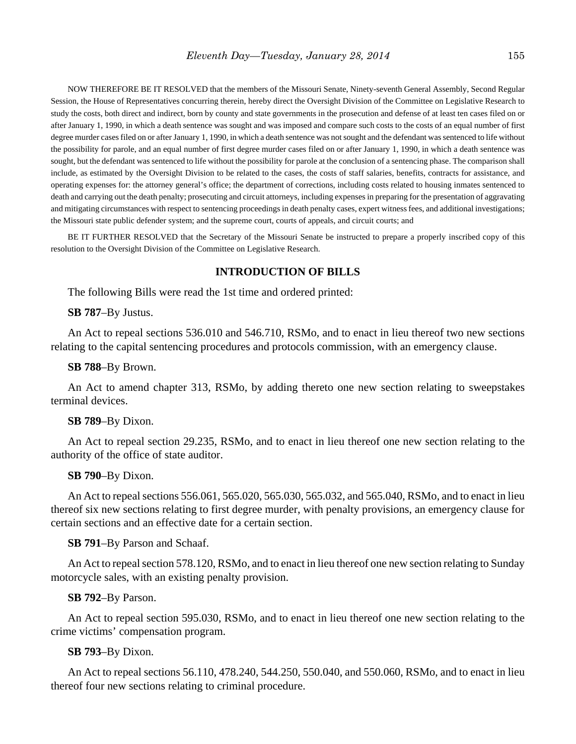NOW THEREFORE BE IT RESOLVED that the members of the Missouri Senate, Ninety-seventh General Assembly, Second Regular Session, the House of Representatives concurring therein, hereby direct the Oversight Division of the Committee on Legislative Research to study the costs, both direct and indirect, born by county and state governments in the prosecution and defense of at least ten cases filed on or after January 1, 1990, in which a death sentence was sought and was imposed and compare such costs to the costs of an equal number of first degree murder cases filed on or after January 1, 1990, in which a death sentence was not sought and the defendant was sentenced to life without the possibility for parole, and an equal number of first degree murder cases filed on or after January 1, 1990, in which a death sentence was sought, but the defendant was sentenced to life without the possibility for parole at the conclusion of a sentencing phase. The comparison shall include, as estimated by the Oversight Division to be related to the cases, the costs of staff salaries, benefits, contracts for assistance, and operating expenses for: the attorney general's office; the department of corrections, including costs related to housing inmates sentenced to death and carrying out the death penalty; prosecuting and circuit attorneys, including expenses in preparing for the presentation of aggravating and mitigating circumstances with respect to sentencing proceedings in death penalty cases, expert witness fees, and additional investigations; the Missouri state public defender system; and the supreme court, courts of appeals, and circuit courts; and

BE IT FURTHER RESOLVED that the Secretary of the Missouri Senate be instructed to prepare a properly inscribed copy of this resolution to the Oversight Division of the Committee on Legislative Research.

## **INTRODUCTION OF BILLS**

The following Bills were read the 1st time and ordered printed:

#### **SB 787**–By Justus.

An Act to repeal sections 536.010 and 546.710, RSMo, and to enact in lieu thereof two new sections relating to the capital sentencing procedures and protocols commission, with an emergency clause.

## **SB 788**–By Brown.

An Act to amend chapter 313, RSMo, by adding thereto one new section relating to sweepstakes terminal devices.

#### **SB 789**–By Dixon.

An Act to repeal section 29.235, RSMo, and to enact in lieu thereof one new section relating to the authority of the office of state auditor.

## **SB 790**–By Dixon.

An Act to repeal sections 556.061, 565.020, 565.030, 565.032, and 565.040, RSMo, and to enact in lieu thereof six new sections relating to first degree murder, with penalty provisions, an emergency clause for certain sections and an effective date for a certain section.

## **SB 791**–By Parson and Schaaf.

An Act to repeal section 578.120, RSMo, and to enact in lieu thereof one new section relating to Sunday motorcycle sales, with an existing penalty provision.

#### **SB 792**–By Parson.

An Act to repeal section 595.030, RSMo, and to enact in lieu thereof one new section relating to the crime victims' compensation program.

#### **SB 793**–By Dixon.

An Act to repeal sections 56.110, 478.240, 544.250, 550.040, and 550.060, RSMo, and to enact in lieu thereof four new sections relating to criminal procedure.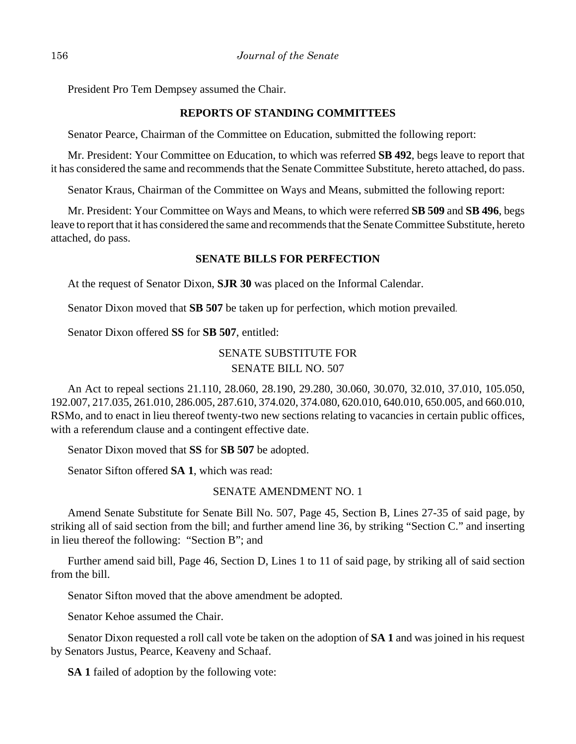President Pro Tem Dempsey assumed the Chair.

## **REPORTS OF STANDING COMMITTEES**

Senator Pearce, Chairman of the Committee on Education, submitted the following report:

Mr. President: Your Committee on Education, to which was referred **SB 492**, begs leave to report that it has considered the same and recommends that the Senate Committee Substitute, hereto attached, do pass.

Senator Kraus, Chairman of the Committee on Ways and Means, submitted the following report:

Mr. President: Your Committee on Ways and Means, to which were referred **SB 509** and **SB 496**, begs leave to report that it has considered the same and recommends that the Senate Committee Substitute, hereto attached, do pass.

# **SENATE BILLS FOR PERFECTION**

At the request of Senator Dixon, **SJR 30** was placed on the Informal Calendar.

Senator Dixon moved that **SB 507** be taken up for perfection, which motion prevailed.

Senator Dixon offered **SS** for **SB 507**, entitled:

# SENATE SUBSTITUTE FOR SENATE BILL NO. 507

An Act to repeal sections 21.110, 28.060, 28.190, 29.280, 30.060, 30.070, 32.010, 37.010, 105.050, 192.007, 217.035, 261.010, 286.005, 287.610, 374.020, 374.080, 620.010, 640.010, 650.005, and 660.010, RSMo, and to enact in lieu thereof twenty-two new sections relating to vacancies in certain public offices, with a referendum clause and a contingent effective date.

Senator Dixon moved that **SS** for **SB 507** be adopted.

Senator Sifton offered **SA 1**, which was read:

# SENATE AMENDMENT NO. 1

Amend Senate Substitute for Senate Bill No. 507, Page 45, Section B, Lines 27-35 of said page, by striking all of said section from the bill; and further amend line 36, by striking "Section C." and inserting in lieu thereof the following: "Section B"; and

Further amend said bill, Page 46, Section D, Lines 1 to 11 of said page, by striking all of said section from the bill.

Senator Sifton moved that the above amendment be adopted.

Senator Kehoe assumed the Chair.

Senator Dixon requested a roll call vote be taken on the adoption of **SA 1** and was joined in his request by Senators Justus, Pearce, Keaveny and Schaaf.

**SA 1** failed of adoption by the following vote: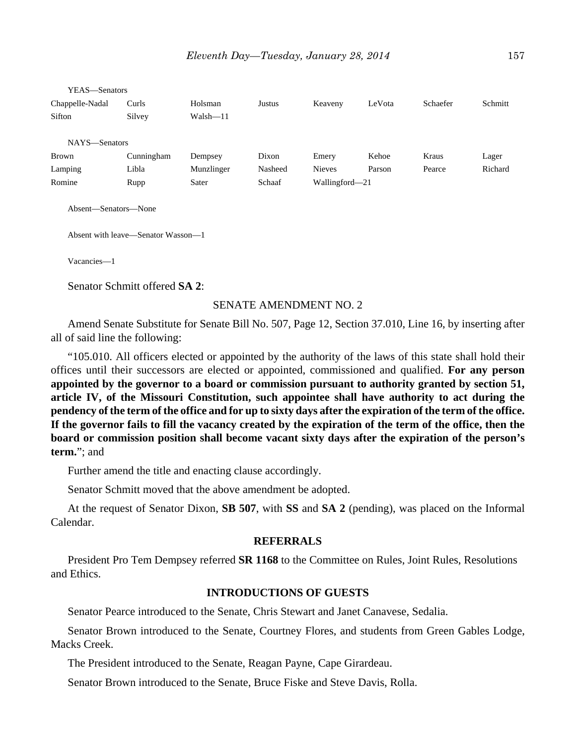| YEAS—Senators                      |            |              |         |                |        |          |         |
|------------------------------------|------------|--------------|---------|----------------|--------|----------|---------|
| Chappelle-Nadal                    | Curls      | Holsman      | Justus  | Keaveny        | LeVota | Schaefer | Schmitt |
| Sifton                             | Silvey     | $Walsh - 11$ |         |                |        |          |         |
|                                    |            |              |         |                |        |          |         |
| NAYS-Senators                      |            |              |         |                |        |          |         |
| <b>Brown</b>                       | Cunningham | Dempsey      | Dixon   | Emery          | Kehoe  | Kraus    | Lager   |
| Lamping                            | Libla      | Munzlinger   | Nasheed | <b>Nieves</b>  | Parson | Pearce   | Richard |
| Romine                             | Rupp       | Sater        | Schaaf  | Wallingford-21 |        |          |         |
| Absent-Senators-None               |            |              |         |                |        |          |         |
| Absent with leave—Senator Wasson—1 |            |              |         |                |        |          |         |
| Vacancies-1                        |            |              |         |                |        |          |         |
| Senator Schmitt offered SA 2:      |            |              |         |                |        |          |         |

SENATE AMENDMENT NO. 2

Amend Senate Substitute for Senate Bill No. 507, Page 12, Section 37.010, Line 16, by inserting after all of said line the following:

"105.010. All officers elected or appointed by the authority of the laws of this state shall hold their offices until their successors are elected or appointed, commissioned and qualified. **For any person appointed by the governor to a board or commission pursuant to authority granted by section 51, article IV, of the Missouri Constitution, such appointee shall have authority to act during the pendency of the term of the office and for up to sixty days after the expiration of the term of the office. If the governor fails to fill the vacancy created by the expiration of the term of the office, then the board or commission position shall become vacant sixty days after the expiration of the person's term.**"; and

Further amend the title and enacting clause accordingly.

Senator Schmitt moved that the above amendment be adopted.

At the request of Senator Dixon, **SB 507**, with **SS** and **SA 2** (pending), was placed on the Informal Calendar.

#### **REFERRALS**

President Pro Tem Dempsey referred **SR 1168** to the Committee on Rules, Joint Rules, Resolutions and Ethics.

## **INTRODUCTIONS OF GUESTS**

Senator Pearce introduced to the Senate, Chris Stewart and Janet Canavese, Sedalia.

Senator Brown introduced to the Senate, Courtney Flores, and students from Green Gables Lodge, Macks Creek.

The President introduced to the Senate, Reagan Payne, Cape Girardeau.

Senator Brown introduced to the Senate, Bruce Fiske and Steve Davis, Rolla.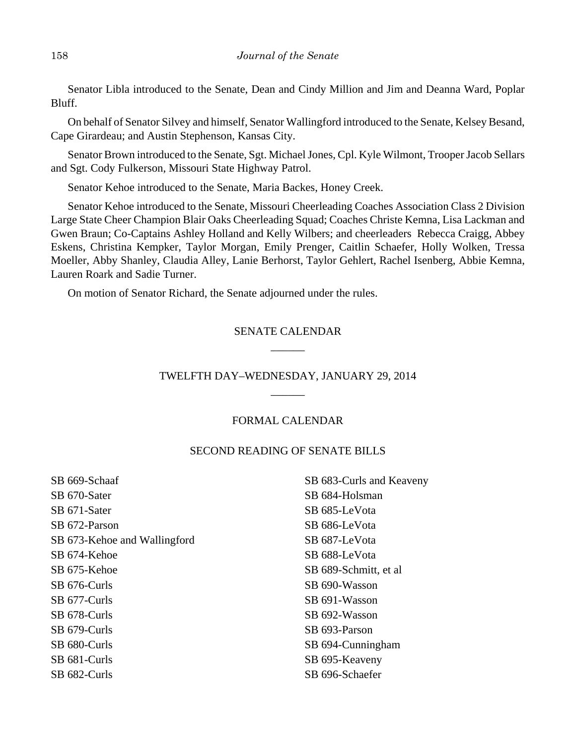Senator Libla introduced to the Senate, Dean and Cindy Million and Jim and Deanna Ward, Poplar Bluff.

On behalf of Senator Silvey and himself, Senator Wallingford introduced to the Senate, Kelsey Besand, Cape Girardeau; and Austin Stephenson, Kansas City.

Senator Brown introduced to the Senate, Sgt. Michael Jones, Cpl. Kyle Wilmont, Trooper Jacob Sellars and Sgt. Cody Fulkerson, Missouri State Highway Patrol.

Senator Kehoe introduced to the Senate, Maria Backes, Honey Creek.

Senator Kehoe introduced to the Senate, Missouri Cheerleading Coaches Association Class 2 Division Large State Cheer Champion Blair Oaks Cheerleading Squad; Coaches Christe Kemna, Lisa Lackman and Gwen Braun; Co-Captains Ashley Holland and Kelly Wilbers; and cheerleaders Rebecca Craigg, Abbey Eskens, Christina Kempker, Taylor Morgan, Emily Prenger, Caitlin Schaefer, Holly Wolken, Tressa Moeller, Abby Shanley, Claudia Alley, Lanie Berhorst, Taylor Gehlert, Rachel Isenberg, Abbie Kemna, Lauren Roark and Sadie Turner.

On motion of Senator Richard, the Senate adjourned under the rules.

# SENATE CALENDAR \_\_\_\_\_\_

# TWELFTH DAY–WEDNESDAY, JANUARY 29, 2014 \_\_\_\_\_\_

## FORMAL CALENDAR

## SECOND READING OF SENATE BILLS

| SB 669-Schaaf                | SB 683-Curls and Keaveny |
|------------------------------|--------------------------|
| SB 670-Sater                 | SB 684-Holsman           |
| SB 671-Sater                 | SB 685-LeVota            |
| SB 672-Parson                | SB 686-LeVota            |
| SB 673-Kehoe and Wallingford | SB 687-LeVota            |
| SB 674-Kehoe                 | SB 688-LeVota            |
| SB 675-Kehoe                 | SB 689-Schmitt, et al.   |
| SB 676-Curls                 | SB 690-Wasson            |
| SB 677-Curls                 | SB 691-Wasson            |
| SB 678-Curls                 | SB 692-Wasson            |
| SB 679-Curls                 | SB 693-Parson            |
| SB 680-Curls                 | SB 694-Cunningham        |
| SB 681-Curls                 | SB 695-Keaveny           |
| SB 682-Curls                 | SB 696-Schaefer          |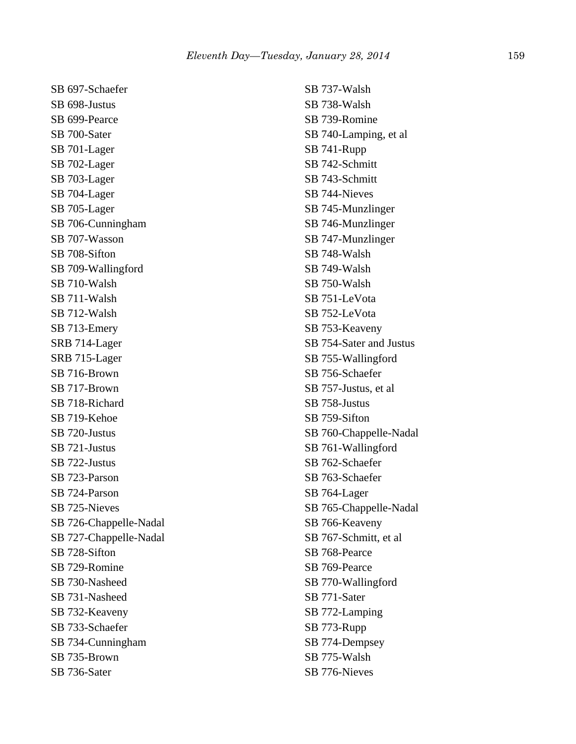SB 697-Schaefer SB 698-Justus SB 699-Pearce SB 700-Sater SB 701-Lager SB 702-Lager SB 703-Lager SB 704-Lager SB 705-Lager SB 706-Cunningham SB 707-Wasson SB 708-Sifton SB 709-Wallingford SB 710-Walsh SB 711-Walsh SB 712-Walsh SB 713-Emery SRB 714-Lager SRB 715-Lager SB 716-Brown SB 717-Brown SB 718-Richard SB 719-Kehoe SB 720-Justus SB 721-Justus SB 722-Justus SB 723-Parson SB 724-Parson SB 725-Nieves SB 726-Chappelle-Nadal SB 727-Chappelle-Nadal SB 728-Sifton SB 729-Romine SB 730-Nasheed SB 731-Nasheed SB 732-Keaveny SB 733-Schaefer SB 734-Cunningham SB 735-Brown SB 736-Sater

SB 737-Walsh SB 738-Walsh SB 739-Romine SB 740-Lamping, et al SB 741-Rupp SB 742-Schmitt SB 743-Schmitt SB 744-Nieves SB 745-Munzlinger SB 746-Munzlinger SB 747-Munzlinger SB 748-Walsh SB 749-Walsh SB 750-Walsh SB 751-LeVota SB 752-LeVota SB 753-Keaveny SB 754-Sater and Justus SB 755-Wallingford SB 756-Schaefer SB 757-Justus, et al SB 758-Justus SB 759-Sifton SB 760-Chappelle-Nadal SB 761-Wallingford SB 762-Schaefer SB 763-Schaefer SB 764-Lager SB 765-Chappelle-Nadal SB 766-Keaveny SB 767-Schmitt, et al SB 768-Pearce SB 769-Pearce SB 770-Wallingford SB 771-Sater SB 772-Lamping SB 773-Rupp SB 774-Dempsey SB 775-Walsh SB 776-Nieves